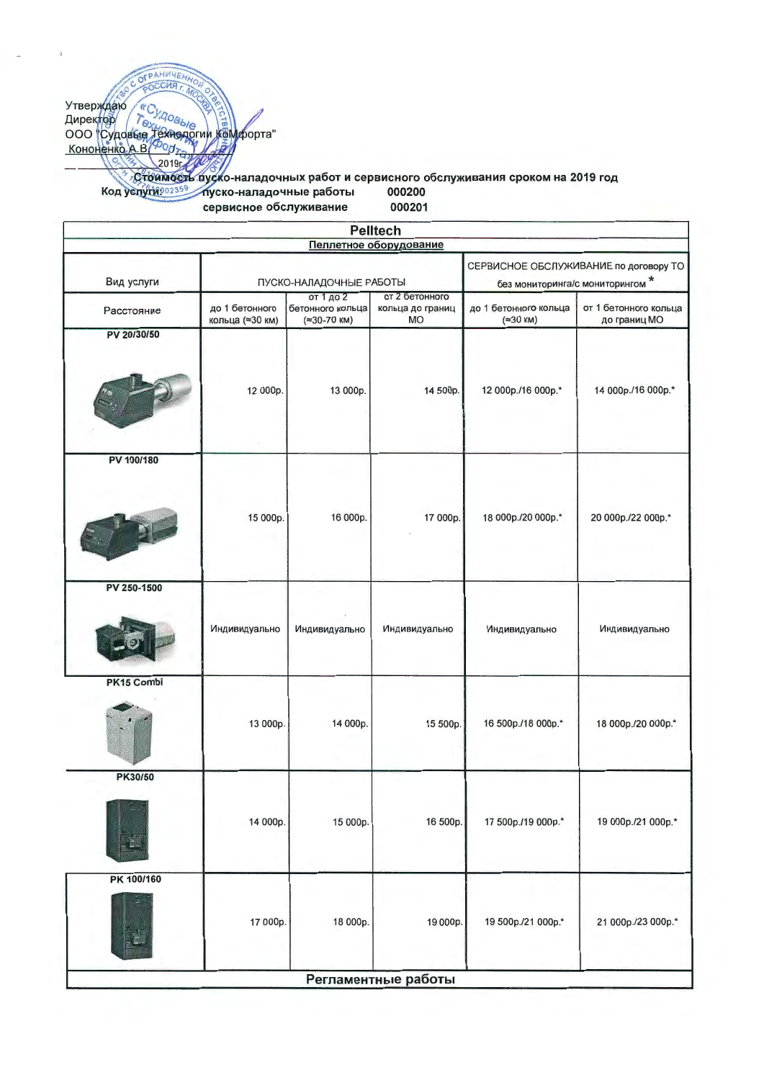Утвержиато<br>
Директор Годовые (2019)<br>
Кононенко А.В. С. 2019;<br>
Стоимость судок нападочных работ и сервисного обслуживания сроком на 2019 год<br>
Код услугие в сорруско-нападочные работы 000200<br>
Код услугие соррусско-нападочн сервисное обслуживание 000201

|             |                                   |                                              | <b>Pelitech</b><br>Пеллетное оборудование       |                                                                           |                                       |
|-------------|-----------------------------------|----------------------------------------------|-------------------------------------------------|---------------------------------------------------------------------------|---------------------------------------|
| Вид услуги  | ПУСКО-НАЛАДОЧНЫЕ РАБОТЫ           |                                              |                                                 | СЕРВИСНОЕ ОБСЛУЖИВАНИЕ по договору ТО<br>без мониторинга/с мониторингом * |                                       |
| Расстояние  | до 1 бетонного<br>кольца (≈30 км) | от 1 до 2<br>бетонного кольца<br>(≈30-70 км) | от 2 бетонного<br>кольца до границ<br><b>MO</b> | до 1 бетонного кольца<br>(≈30 км)                                         | от 1 бетонного кольца<br>до границ МО |
| PV 20/30/50 |                                   |                                              |                                                 |                                                                           |                                       |
|             | 12 000p.                          | 13 000p.                                     | 14 500p.                                        | 12 000p./16 000p.*                                                        | 14 000p./16 000p.*                    |
| PV 100/180  |                                   |                                              |                                                 |                                                                           |                                       |
|             | 15 000p.                          | 16 000p.                                     | 17 000p.                                        | 18 000p./20 000p.*                                                        | 20 000p./22 000p.*                    |
| PV 250-1500 |                                   |                                              |                                                 |                                                                           |                                       |
|             | Индивидуально                     | Индивидуально                                | Индивидуально                                   | Индивидуально                                                             | Индивидуально                         |
| PK15 Combi  |                                   |                                              |                                                 |                                                                           |                                       |
|             | 13 000p.                          | 14 000p.                                     | 15 500p.                                        | 16 500p./18 000p.*                                                        | 18 000p./20 000p.*                    |
| PK30/50     |                                   |                                              |                                                 |                                                                           |                                       |
|             | 14 000p.                          | 15 000p.                                     | 16 500p.                                        | 17 500p./19 000p.*                                                        | 19 000p./21 000p.*                    |
| PK 100/160  |                                   |                                              |                                                 |                                                                           |                                       |
|             | 17 000p.                          | 18 000p.                                     | 19 000p.                                        | 19 500p./21 000p.*                                                        | 21 000p./23 000p.*                    |
|             |                                   |                                              | Регламентные работы                             |                                                                           |                                       |

OFPAHUNHEN CHA<sub>r</sub>